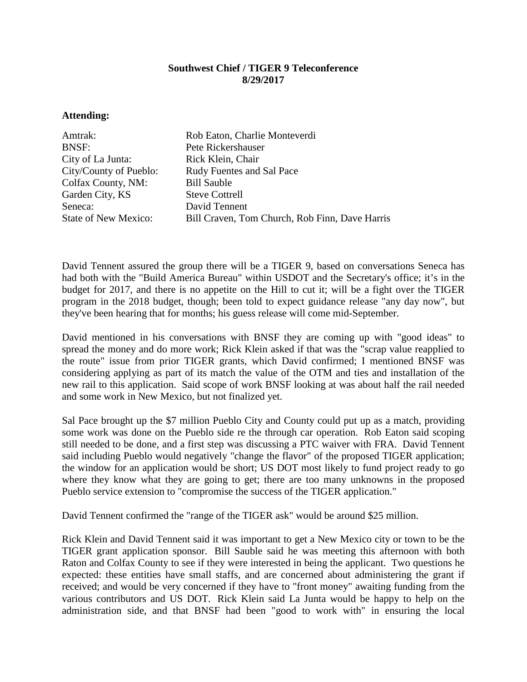## **Southwest Chief / TIGER 9 Teleconference 8/29/2017**

## **Attending:**

| Amtrak:                     | Rob Eaton, Charlie Monteverdi                  |
|-----------------------------|------------------------------------------------|
| <b>BNSF:</b>                | Pete Rickershauser                             |
| City of La Junta:           | Rick Klein, Chair                              |
| City/County of Pueblo:      | <b>Rudy Fuentes and Sal Pace</b>               |
| Colfax County, NM:          | <b>Bill Sauble</b>                             |
| Garden City, KS             | <b>Steve Cottrell</b>                          |
| Seneca:                     | David Tennent                                  |
| <b>State of New Mexico:</b> | Bill Craven, Tom Church, Rob Finn, Dave Harris |

David Tennent assured the group there will be a TIGER 9, based on conversations Seneca has had both with the "Build America Bureau" within USDOT and the Secretary's office; it's in the budget for 2017, and there is no appetite on the Hill to cut it; will be a fight over the TIGER program in the 2018 budget, though; been told to expect guidance release "any day now", but they've been hearing that for months; his guess release will come mid-September.

David mentioned in his conversations with BNSF they are coming up with "good ideas" to spread the money and do more work; Rick Klein asked if that was the "scrap value reapplied to the route" issue from prior TIGER grants, which David confirmed; I mentioned BNSF was considering applying as part of its match the value of the OTM and ties and installation of the new rail to this application. Said scope of work BNSF looking at was about half the rail needed and some work in New Mexico, but not finalized yet.

Sal Pace brought up the \$7 million Pueblo City and County could put up as a match, providing some work was done on the Pueblo side re the through car operation. Rob Eaton said scoping still needed to be done, and a first step was discussing a PTC waiver with FRA. David Tennent said including Pueblo would negatively "change the flavor" of the proposed TIGER application; the window for an application would be short; US DOT most likely to fund project ready to go where they know what they are going to get; there are too many unknowns in the proposed Pueblo service extension to "compromise the success of the TIGER application."

David Tennent confirmed the "range of the TIGER ask" would be around \$25 million.

Rick Klein and David Tennent said it was important to get a New Mexico city or town to be the TIGER grant application sponsor. Bill Sauble said he was meeting this afternoon with both Raton and Colfax County to see if they were interested in being the applicant. Two questions he expected: these entities have small staffs, and are concerned about administering the grant if received; and would be very concerned if they have to "front money" awaiting funding from the various contributors and US DOT. Rick Klein said La Junta would be happy to help on the administration side, and that BNSF had been "good to work with" in ensuring the local